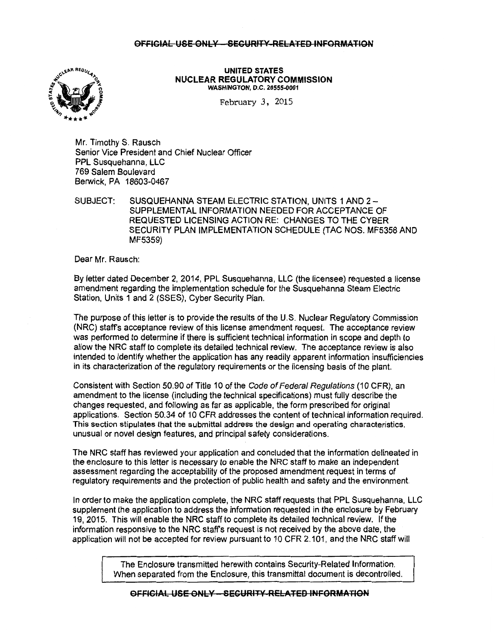# OFFICIAL USE ONLY - SECURITY-RELATED INFORMATION



UNITED STATES NUCLEAR REGULATORY COMMISSION WASHINGTON, D.C. 20555-0001

February 3, 2015

Mr. Timothy S. Rausch Senior Vice President and Chief Nuclear Officer PPL Susquehanna, LLC 769 Salem Boulevard Berwick, PA 18603-0467

SUBJECT: SUSQUEHANNA STEAM ELECTRIC STATION, UNITS 1 AND 2- SUPPLEMENTAL INFORMATION NEEDED FOR ACCEPTANCE OF REQUESTED LICENSING ACTION RE: CHANGES TO THE CYBER SECURITY PLAN IMPLEMENTATION SCHEDULE (TAG NOS. MF5358 AND MF5359)

Dear Mr. Rausch:

By letter dated December 2, 2014, PPL Susquehanna, LLC (the licensee) requested a license amendment regarding the implementation schedule for the Susquehanna Steam Electric Station, Units 1 and 2 (SSES), Cyber Security Plan.

The purpose of this letter is to provide the results of the U.S. Nuclear Regulatory Commission (NRC) staff's acceptance review of this license amendment request. The acceptance review was performed to determine if there is sufficient technical information in scope and depth to allow the NRC staff to complete its detailed technical review. The acceptance review is also intended to identify whether the application has any readily apparent information insufficiencies in its characterization of the regulatory requirements or the licensing basis of the plant.

Consistent with Section 50.90 of Title 10 of the Code of Federal Regulations (10 CFR), an amendment to the license (including the technical specifications) must fully describe the changes requested, and following as far as applicable, the form prescribed for original applications. Section 50.34 of 10 CFR addresses the content of technical information required. This section stipulates that the submittal address the design and operating characteristics, unusual or novel design features, and principal safety considerations.

The NRC staff has reviewed your application and concluded that the information delineated in the enclosure to this letter is necessary to enable the NRC staff to make an independent assessment regarding the acceptability of the proposed amendment request in terms of regulatory requirements and the protection of public health and safety and the environment.

In order to make the application complete, the NRC staff requests that PPL Susquehanna, LLC supplement the application to address the information requested in the enclosure by February 19, 2015. This will enable the NRC staff to complete its detailed technical review. If the information responsive to the NRC staff's request is not received by the above date, the application will not be accepted for review pursuant to 10 CFR 2.1 01, and the NRC staff will

> The Enclosure transmitted herewith contains Security-Related Information. When separated from the Enclosure, this transmittal document is decontrolled.

OFFICIAL USE ONLY - SECURITY RELATED INFORMATION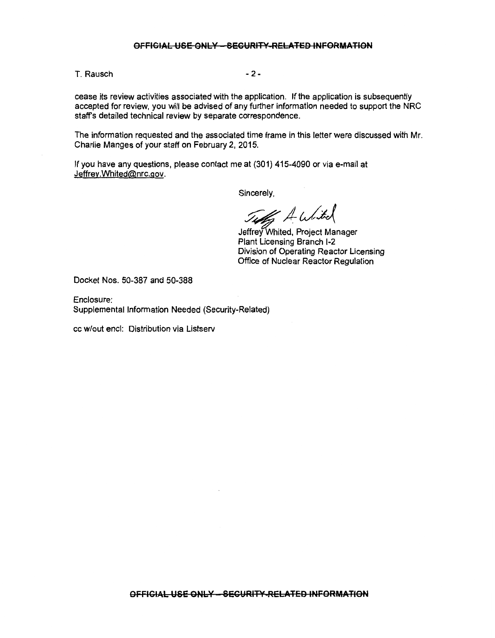### **OFFICIAL USE ONLY - SECURITY RELATED INFORMATION**

T. Rausch and the contract of the 2-

cease its review activities associated with the application. If the application is subsequently accepted for review, you will be advised of any further information needed to support the NRC staffs detailed technical review by separate correspondence.

The information requested and the associated time frame in this letter were discussed with Mr. Charlie Manges of your staff on February 2, 2015.

If you have any questions, please contact me at (301) 415-4090 or via e-mail at Jeffrey.Whited@nrc.gov.

Sincerely,

Titles A whited

Jeffrey Whited, Project Manager Plant Licensing Branch 1-2 Division of Operating Reactor Licensing Office of Nuclear Reactor Regulation

Docket Nos. 50-387 and 50-388

Enclosure: Supplemental Information Needed (Security-Related)

cc w/out encl: Distribution via Listserv